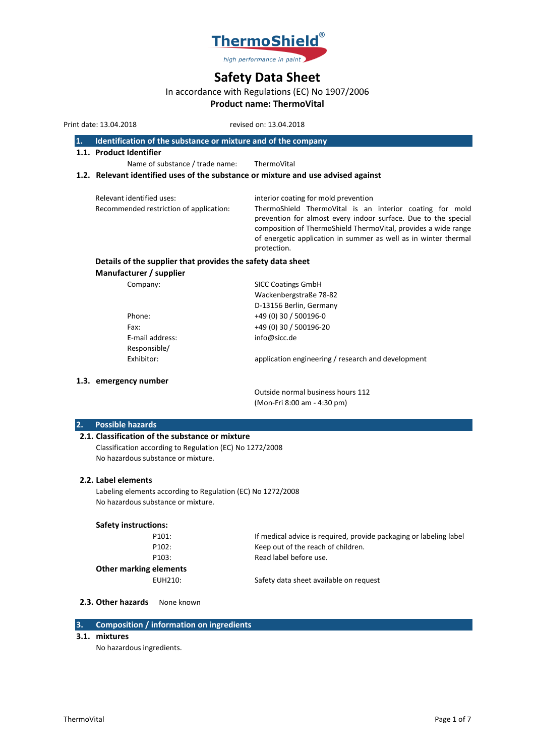

# **Safety Data Sheet**

# In accordance with Regulations (EC) No 1907/2006

**Product name: ThermoVital**

Print date: 13.04.2018 revised on: 13.04.2018

| 1. |  | $\blacksquare$ Identification of the substance or mixture and of the company |  |
|----|--|------------------------------------------------------------------------------|--|
|----|--|------------------------------------------------------------------------------|--|

**1.1. Product Identifier**

Name of substance / trade name: ThermoVital

# **1.2. Relevant identified uses of the substance or mixture and use advised against**

| Relevant identified uses:               | interior coating for mold prevention                                                                                                                                                                                                                                           |
|-----------------------------------------|--------------------------------------------------------------------------------------------------------------------------------------------------------------------------------------------------------------------------------------------------------------------------------|
| Recommended restriction of application: | ThermoShield ThermoVital is an interior coating for mold<br>prevention for almost every indoor surface. Due to the special<br>composition of ThermoShield ThermoVital, provides a wide range<br>of energetic application in summer as well as in winter thermal<br>protection. |
| - - -                                   |                                                                                                                                                                                                                                                                                |

#### **Details of the supplier that provides the safety data sheet Manufacturer / supplier** Company: SICC Coatings GmbH

| COMPANY.        | <b>SILL COALINGS OTTION</b>                        |
|-----------------|----------------------------------------------------|
|                 | Wackenbergstraße 78-82                             |
|                 | D-13156 Berlin, Germany                            |
| Phone:          | +49 (0) 30 / 500196-0                              |
| Fax:            | +49 (0) 30 / 500196-20                             |
| E-mail address: | info@sicc.de                                       |
| Responsible/    |                                                    |
| Exhibitor:      | application engineering / research and development |
|                 |                                                    |

### **1.3. emergency number**

Outside normal business hours 112 (Mon-Fri 8:00 am - 4:30 pm)

# **2. Possible hazards**

# **2.1. Classification of the substance or mixture**

Classification according to Regulation (EC) No 1272/2008 No hazardous substance or mixture.

#### **2.2. Label elements**

Labeling elements according to Regulation (EC) No 1272/2008 No hazardous substance or mixture.

#### **Safety instructions:**

| P101:                         | If medical advice is required, provide packaging or labeling label |
|-------------------------------|--------------------------------------------------------------------|
| P <sub>102</sub> :            | Keep out of the reach of children.                                 |
| P <sub>103</sub> :            | Read label before use.                                             |
| <b>Other marking elements</b> |                                                                    |
| EUH210:                       | Safety data sheet available on request                             |

2.3. Other hazards None known

# **3. Composition / information on ingredients**

#### **3.1. mixtures**

No hazardous ingredients.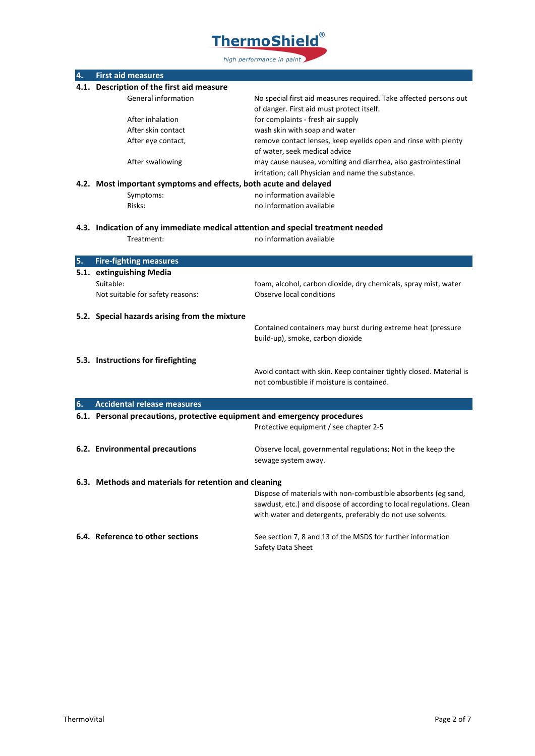

| 4. | <b>First aid measures</b>                                                       |                                                                                                                                       |
|----|---------------------------------------------------------------------------------|---------------------------------------------------------------------------------------------------------------------------------------|
|    | 4.1. Description of the first aid measure                                       |                                                                                                                                       |
|    | General information                                                             | No special first aid measures required. Take affected persons out                                                                     |
|    |                                                                                 | of danger. First aid must protect itself.                                                                                             |
|    | After inhalation                                                                | for complaints - fresh air supply                                                                                                     |
|    | After skin contact                                                              | wash skin with soap and water                                                                                                         |
|    | After eye contact,                                                              | remove contact lenses, keep eyelids open and rinse with plenty                                                                        |
|    |                                                                                 | of water, seek medical advice                                                                                                         |
|    | After swallowing                                                                | may cause nausea, vomiting and diarrhea, also gastrointestinal                                                                        |
|    |                                                                                 | irritation; call Physician and name the substance.                                                                                    |
|    | 4.2. Most important symptoms and effects, both acute and delayed                |                                                                                                                                       |
|    | Symptoms:                                                                       | no information available                                                                                                              |
|    | Risks:                                                                          | no information available                                                                                                              |
|    | 4.3. Indication of any immediate medical attention and special treatment needed |                                                                                                                                       |
|    | Treatment:                                                                      | no information available                                                                                                              |
|    |                                                                                 |                                                                                                                                       |
| 5. | <b>Fire-fighting measures</b>                                                   |                                                                                                                                       |
|    | 5.1. extinguishing Media                                                        |                                                                                                                                       |
|    | Suitable:                                                                       | foam, alcohol, carbon dioxide, dry chemicals, spray mist, water                                                                       |
|    | Not suitable for safety reasons:                                                | Observe local conditions                                                                                                              |
|    |                                                                                 |                                                                                                                                       |
|    | 5.2. Special hazards arising from the mixture                                   |                                                                                                                                       |
|    |                                                                                 | Contained containers may burst during extreme heat (pressure                                                                          |
|    |                                                                                 | build-up), smoke, carbon dioxide                                                                                                      |
|    |                                                                                 |                                                                                                                                       |
|    | 5.3. Instructions for firefighting                                              |                                                                                                                                       |
|    |                                                                                 | Avoid contact with skin. Keep container tightly closed. Material is                                                                   |
|    |                                                                                 | not combustible if moisture is contained.                                                                                             |
|    |                                                                                 |                                                                                                                                       |
| 6. | <b>Accidental release measures</b>                                              |                                                                                                                                       |
|    | 6.1. Personal precautions, protective equipment and emergency procedures        |                                                                                                                                       |
|    |                                                                                 | Protective equipment / see chapter 2-5                                                                                                |
|    |                                                                                 |                                                                                                                                       |
|    | 6.2. Environmental precautions                                                  | Observe local, governmental regulations; Not in the keep the                                                                          |
|    |                                                                                 | sewage system away.                                                                                                                   |
|    | 6.3. Methods and materials for retention and cleaning                           |                                                                                                                                       |
|    |                                                                                 |                                                                                                                                       |
|    |                                                                                 | Dispose of materials with non-combustible absorbents (eg sand,<br>sawdust, etc.) and dispose of according to local regulations. Clean |
|    |                                                                                 | with water and detergents, preferably do not use solvents.                                                                            |
|    |                                                                                 |                                                                                                                                       |
|    | 6.4. Reference to other sections                                                | See section 7, 8 and 13 of the MSDS for further information                                                                           |
|    |                                                                                 | Safety Data Sheet                                                                                                                     |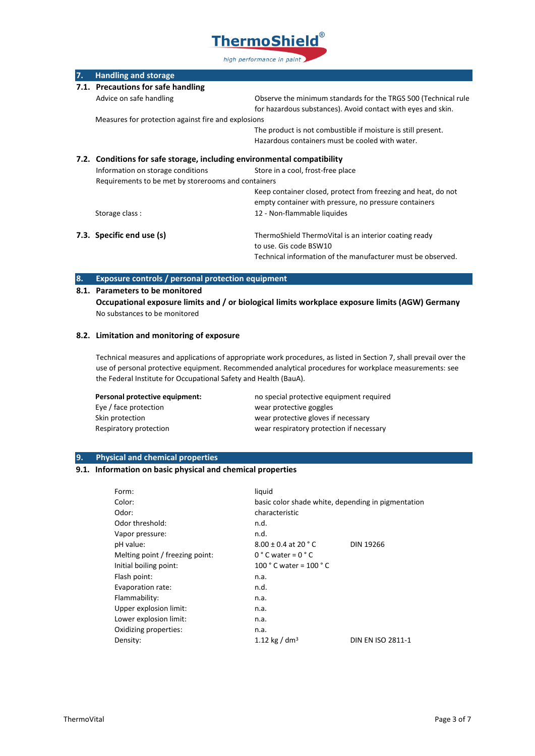

| 7.                                                                      | <b>Handling and storage</b>                         |                                                                |
|-------------------------------------------------------------------------|-----------------------------------------------------|----------------------------------------------------------------|
|                                                                         | 7.1. Precautions for safe handling                  |                                                                |
|                                                                         | Advice on safe handling                             | Observe the minimum standards for the TRGS 500 (Technical rule |
|                                                                         |                                                     | for hazardous substances). Avoid contact with eyes and skin.   |
|                                                                         | Measures for protection against fire and explosions |                                                                |
|                                                                         |                                                     | The product is not combustible if moisture is still present.   |
|                                                                         |                                                     | Hazardous containers must be cooled with water.                |
| 7.2. Conditions for safe storage, including environmental compatibility |                                                     |                                                                |
|                                                                         | Information on storage conditions                   | Store in a cool, frost-free place                              |
|                                                                         | Requirements to be met by storerooms and containers |                                                                |
|                                                                         |                                                     | Keep container closed, protect from freezing and heat, do not  |
|                                                                         |                                                     | empty container with pressure, no pressure containers          |
|                                                                         | Storage class:                                      | 12 - Non-flammable liquides                                    |
|                                                                         | 7.3. Specific end use (s)                           | ThermoShield ThermoVital is an interior coating ready          |
|                                                                         |                                                     | to use. Gis code BSW10                                         |
|                                                                         |                                                     | Technical information of the manufacturer must be observed.    |

# **8. Exposure controls / personal protection equipment**

# **8.1. Parameters to be monitored**

**Occupational exposure limits and / or biological limits workplace exposure limits (AGW) Germany** No substances to be monitored

# **8.2. Limitation and monitoring of exposure**

Technical measures and applications of appropriate work procedures, as listed in Section 7, shall prevail over the use of personal protective equipment. Recommended analytical procedures for workplace measurements: see the Federal Institute for Occupational Safety and Health (BauA).

| Personal protective equipment: | no special protective equipment required |
|--------------------------------|------------------------------------------|
| Eye / face protection          | wear protective goggles                  |
| Skin protection                | wear protective gloves if necessary      |
| Respiratory protection         | wear respiratory protection if necessary |

# **9. Physical and chemical properties**

# **9.1. Information on basic physical and chemical properties**

| Form:                           | liquid                                             |                          |
|---------------------------------|----------------------------------------------------|--------------------------|
| Color:                          | basic color shade white, depending in pigmentation |                          |
| Odor:                           | characteristic                                     |                          |
| Odor threshold:                 | n.d.                                               |                          |
| Vapor pressure:                 | n.d.                                               |                          |
| pH value:                       | $8.00 \pm 0.4$ at 20 ° C                           | <b>DIN 19266</b>         |
| Melting point / freezing point: | $0 °C$ water = $0 °C$                              |                          |
| Initial boiling point:          | 100 $^{\circ}$ C water = 100 $^{\circ}$ C          |                          |
| Flash point:                    | n.a.                                               |                          |
| Evaporation rate:               | n.d.                                               |                          |
| Flammability:                   | n.a.                                               |                          |
| Upper explosion limit:          | n.a.                                               |                          |
| Lower explosion limit:          | n.a.                                               |                          |
| Oxidizing properties:           | n.a.                                               |                          |
| Density:                        | 1.12 kg / dm <sup>3</sup>                          | <b>DIN EN ISO 2811-1</b> |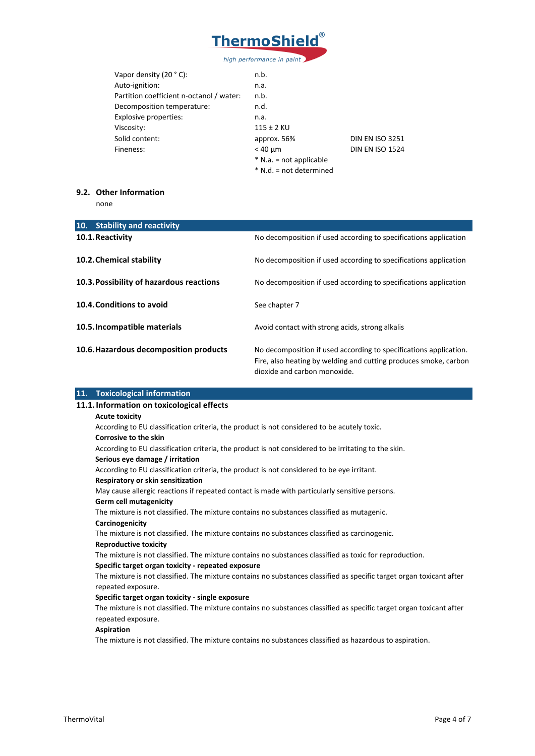

| Vapor density $(20 °C)$ :                | n.b.                      |                        |
|------------------------------------------|---------------------------|------------------------|
| Auto-ignition:                           | n.a.                      |                        |
| Partition coefficient n-octanol / water: | n.b.                      |                        |
| Decomposition temperature:               | n.d.                      |                        |
| Explosive properties:                    | n.a.                      |                        |
| Viscosity:                               | $115 \pm 2$ KU            |                        |
| Solid content:                           | approx. 56%               | <b>DIN EN ISO 3251</b> |
| Fineness:                                | $<$ 40 $\mu$ m            | <b>DIN EN ISO 1524</b> |
|                                          | $*$ N.a. = not applicable |                        |
|                                          | * N.d. = not determined   |                        |
|                                          |                           |                        |

# **9.2. Other Information**

none

| 10. Stability and reactivity             |                                                                                                                                                                       |
|------------------------------------------|-----------------------------------------------------------------------------------------------------------------------------------------------------------------------|
| 10.1. Reactivity                         | No decomposition if used according to specifications application                                                                                                      |
| 10.2. Chemical stability                 | No decomposition if used according to specifications application                                                                                                      |
| 10.3. Possibility of hazardous reactions | No decomposition if used according to specifications application                                                                                                      |
| 10.4. Conditions to avoid                | See chapter 7                                                                                                                                                         |
| 10.5. Incompatible materials             | Avoid contact with strong acids, strong alkalis                                                                                                                       |
| 10.6. Hazardous decomposition products   | No decomposition if used according to specifications application.<br>Fire, also heating by welding and cutting produces smoke, carbon<br>dioxide and carbon monoxide. |

| 11. Toxicological information                                                                                        |
|----------------------------------------------------------------------------------------------------------------------|
| 11.1. Information on toxicological effects                                                                           |
| <b>Acute toxicity</b>                                                                                                |
| According to EU classification criteria, the product is not considered to be acutely toxic.                          |
| <b>Corrosive to the skin</b>                                                                                         |
| According to EU classification criteria, the product is not considered to be irritating to the skin.                 |
| Serious eye damage / irritation                                                                                      |
| According to EU classification criteria, the product is not considered to be eye irritant.                           |
| Respiratory or skin sensitization                                                                                    |
| May cause allergic reactions if repeated contact is made with particularly sensitive persons.                        |
| <b>Germ cell mutagenicity</b>                                                                                        |
| The mixture is not classified. The mixture contains no substances classified as mutagenic.                           |
| Carcinogenicity                                                                                                      |
| The mixture is not classified. The mixture contains no substances classified as carcinogenic.                        |
| <b>Reproductive toxicity</b>                                                                                         |
| The mixture is not classified. The mixture contains no substances classified as toxic for reproduction.              |
| Specific target organ toxicity - repeated exposure                                                                   |
| The mixture is not classified. The mixture contains no substances classified as specific target organ toxicant after |
| repeated exposure.                                                                                                   |
| Specific target organ toxicity - single exposure                                                                     |
| The mixture is not classified. The mixture contains no substances classified as specific target organ toxicant after |
| repeated exposure.                                                                                                   |
| <b>Aspiration</b>                                                                                                    |
| The mixture is not classified. The mixture contains no substances classified as hazardous to aspiration.             |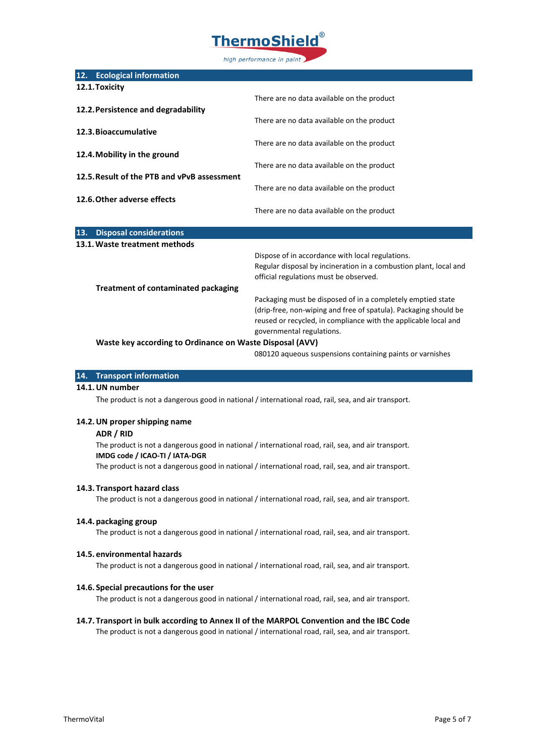

|     | 12. Ecological information                               |                                                                   |
|-----|----------------------------------------------------------|-------------------------------------------------------------------|
|     | 12.1. Toxicity                                           |                                                                   |
|     |                                                          | There are no data available on the product                        |
|     | 12.2. Persistence and degradability                      |                                                                   |
|     |                                                          | There are no data available on the product                        |
|     | 12.3. Bioaccumulative                                    |                                                                   |
|     |                                                          | There are no data available on the product                        |
|     | 12.4. Mobility in the ground                             |                                                                   |
|     |                                                          | There are no data available on the product                        |
|     | 12.5. Result of the PTB and vPvB assessment              |                                                                   |
|     |                                                          | There are no data available on the product                        |
|     | 12.6. Other adverse effects                              |                                                                   |
|     |                                                          | There are no data available on the product                        |
| 13. | <b>Disposal considerations</b>                           |                                                                   |
|     |                                                          |                                                                   |
|     | 13.1. Waste treatment methods                            |                                                                   |
|     |                                                          | Dispose of in accordance with local regulations.                  |
|     |                                                          | Regular disposal by incineration in a combustion plant, local and |
|     |                                                          | official regulations must be observed.                            |
|     | <b>Treatment of contaminated packaging</b>               |                                                                   |
|     |                                                          | Packaging must be disposed of in a completely emptied state       |
|     |                                                          | (drip-free, non-wiping and free of spatula). Packaging should be  |
|     |                                                          | reused or recycled, in compliance with the applicable local and   |
|     |                                                          | governmental regulations.                                         |
|     | Waste key according to Ordinance on Waste Disposal (AVV) |                                                                   |

080120 aqueous suspensions containing paints or varnishes

#### **14. Transport information**

## **14.1.UN number**

The product is not a dangerous good in national / international road, rail, sea, and air transport.

#### **14.2.UN proper shipping name**

#### **ADR / RID**

The product is not a dangerous good in national / international road, rail, sea, and air transport. **IMDG code / ICAO-TI / IATA-DGR**

The product is not a dangerous good in national / international road, rail, sea, and air transport.

#### **14.3. Transport hazard class**

The product is not a dangerous good in national / international road, rail, sea, and air transport.

#### **14.4. packaging group**

The product is not a dangerous good in national / international road, rail, sea, and air transport.

#### **14.5. environmental hazards**

The product is not a dangerous good in national / international road, rail, sea, and air transport.

#### **14.6. Special precautions for the user**

The product is not a dangerous good in national / international road, rail, sea, and air transport.

# **14.7. Transport in bulk according to Annex II of the MARPOL Convention and the IBC Code**

The product is not a dangerous good in national / international road, rail, sea, and air transport.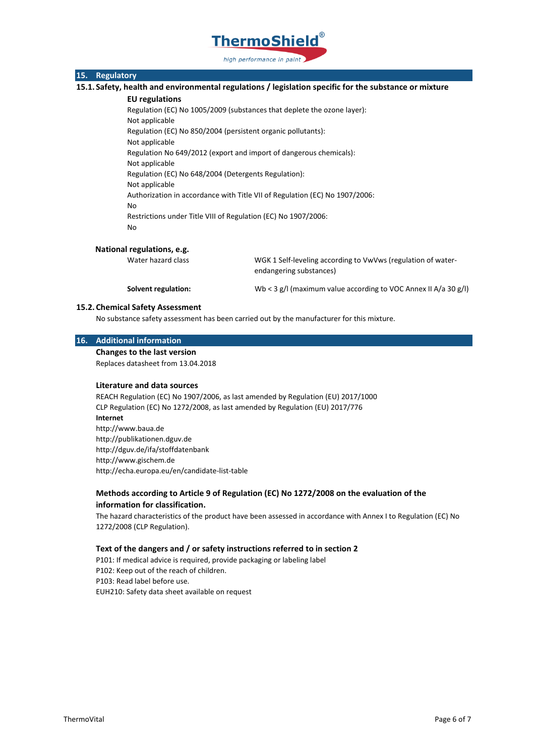

# **15. Regulatory**

**15.1. Safety, health and environmental regulations / legislation specific for the substance or mixture**

#### **EU regulations**

Regulation (EC) No 1005/2009 (substances that deplete the ozone layer): Not applicable Regulation (EC) No 850/2004 (persistent organic pollutants): Not applicable Regulation No 649/2012 (export and import of dangerous chemicals): Not applicable Regulation (EC) No 648/2004 (Detergents Regulation): Not applicable Authorization in accordance with Title VII of Regulation (EC) No 1907/2006: No Restrictions under Title VIII of Regulation (EC) No 1907/2006: No

#### **National regulations, e.g.**

Water hazard class WGK 1 Self-leveling according to VwVws (regulation of waterendangering substances)

**Solvent regulation:** Wb < 3 g/l (maximum value according to VOC Annex II A/a 30 g/l)

#### **15.2. Chemical Safety Assessment**

No substance safety assessment has been carried out by the manufacturer for this mixture.

#### **16. Additional information**

**Changes to the last version**

Replaces datasheet from 13.04.2018

#### **Literature and data sources**

REACH Regulation (EC) No 1907/2006, as last amended by Regulation (EU) 2017/1000 CLP Regulation (EC) No 1272/2008, as last amended by Regulation (EU) 2017/776 **Internet** http://www.baua.de http://publikationen.dguv.de http://dguv.de/ifa/stoffdatenbank http://www.gischem.de http://echa.europa.eu/en/candidate-list-table

# **Methods according to Article 9 of Regulation (EC) No 1272/2008 on the evaluation of the information for classification.**

The hazard characteristics of the product have been assessed in accordance with Annex I to Regulation (EC) No 1272/2008 (CLP Regulation).

#### **Text of the dangers and / or safety instructions referred to in section 2**

P101: If medical advice is required, provide packaging or labeling label P102: Keep out of the reach of children. P103: Read label before use. EUH210: Safety data sheet available on request